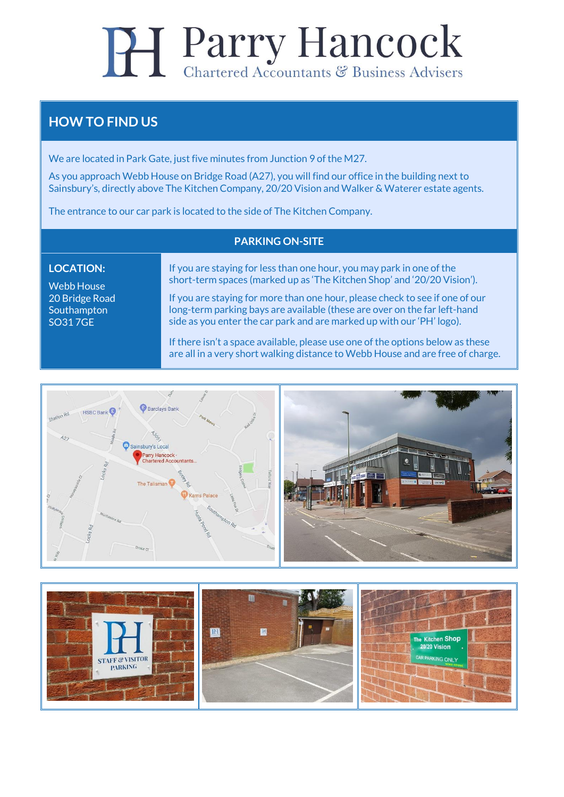# **Parry Hancock** Chartered Accountants & Business Advisers

### **HOW TO FIND US**

We are located in Park Gate, just five minutes from Junction 9 of the M27.

As you approach Webb House on Bridge Road (A27), you will find our office in the building next to Sainsbury's, directly above The Kitchen Company, 20/20 Vision and Walker & Waterer estate agents.

The entrance to our car park is located to the side of The Kitchen Company.

#### **PARKING ON-SITE**

#### **LOCATION:**

Webb House 20 Bridge Road **Southampton** SO31 7GE

If you are staying for less than one hour, you may park in one of the short-term spaces (marked up as 'The Kitchen Shop' and '20/20 Vision').

If you are staying for more than one hour, please check to see if one of our long-term parking bays are available (these are over on the far left-hand side as you enter the car park and are marked up with our 'PH' logo).

If there isn't a space available, please use one of the options below as these are all in a very short walking distance to Webb House and are free of charge.